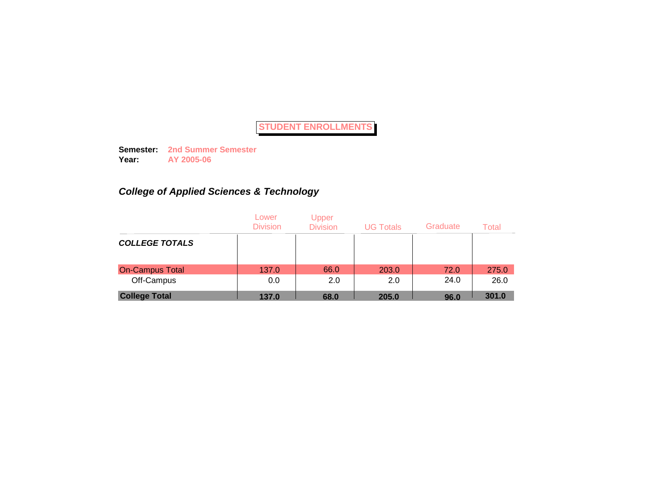**Semester: 2nd Summer Semester Year: AY 2005-06**

# *College of Applied Sciences & Technology*

|                        | Lower<br><b>Division</b> | Upper<br><b>Division</b> | <b>UG Totals</b> | Graduate | Total |
|------------------------|--------------------------|--------------------------|------------------|----------|-------|
| <b>COLLEGE TOTALS</b>  |                          |                          |                  |          |       |
| <b>On-Campus Total</b> | 137.0                    | 66.0                     | 203.0            | 72.0     | 275.0 |
| Off-Campus             | 0.0                      | 2.0                      | 2.0              | 24.0     | 26.0  |
| <b>College Total</b>   | 137.0                    | 68.0                     | 205.0            | 96.0     | 301.0 |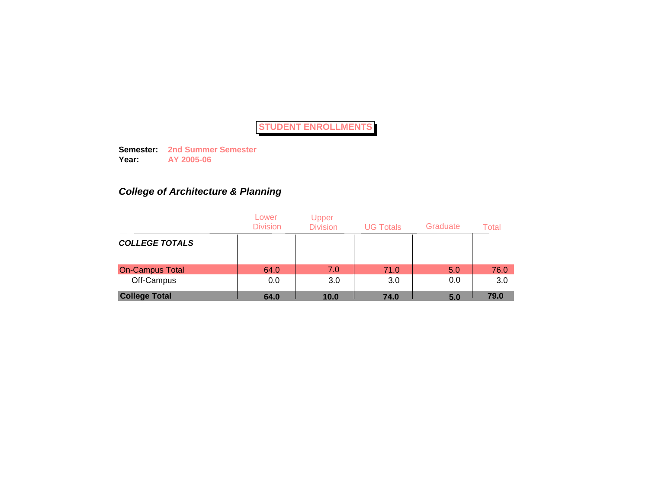**Semester: 2nd Summer Semester Year: AY 2005-06**

# *College of Architecture & Planning*

|                        | Lower<br><b>Division</b> | Upper<br><b>Division</b> | <b>UG Totals</b> | Graduate | Total |
|------------------------|--------------------------|--------------------------|------------------|----------|-------|
| <b>COLLEGE TOTALS</b>  |                          |                          |                  |          |       |
| <b>On-Campus Total</b> | 64.0                     | 7.0                      | 71.0             | 5.0      | 76.0  |
| Off-Campus             | 0.0                      | 3.0                      | 3.0              | 0.0      | 3.0   |
| <b>College Total</b>   | 64.0                     | 10.0                     | 74.0             | 5.0      | 79.0  |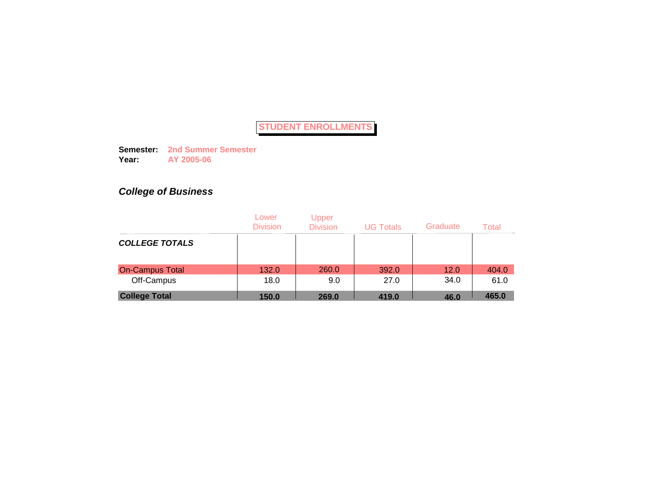**Semester: 2nd Summer Semester Year: AY 2005-06**

# *College of Business*

|                        | Lower<br><b>Division</b> | <b>Upper</b><br><b>Division</b> | <b>UG Totals</b> | Graduate | Total |
|------------------------|--------------------------|---------------------------------|------------------|----------|-------|
| <b>COLLEGE TOTALS</b>  |                          |                                 |                  |          |       |
| <b>On-Campus Total</b> | 132.0                    | 260.0                           | 392.0            | 12.0     | 404.0 |
| Off-Campus             | 18.0                     | 9.0                             | 27.0             | 34.0     | 61.0  |
| <b>College Total</b>   | 150.0                    | 269.0                           | 419.0            | 46.0     | 465.0 |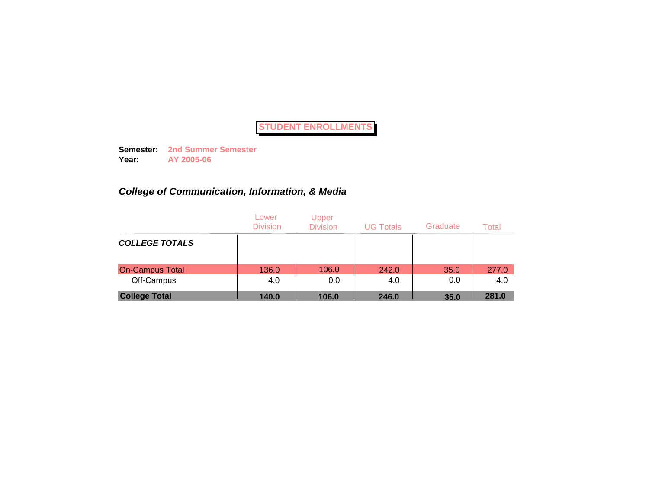**Semester: 2nd Summer Semester Year: AY 2005-06**

# *College of Communication, Information, & Media*

|                        | Lower<br><b>Division</b> | Upper<br><b>Division</b> | <b>UG Totals</b> | Graduate | Total |
|------------------------|--------------------------|--------------------------|------------------|----------|-------|
| <b>COLLEGE TOTALS</b>  |                          |                          |                  |          |       |
| <b>On-Campus Total</b> | 136.0                    | 106.0                    | 242.0            | 35.0     | 277.0 |
| Off-Campus             | 4.0                      | 0.0                      | 4.0              | 0.0      | 4.0   |
| <b>College Total</b>   | 140.0                    | 106.0                    | 246.0            | 35.0     | 281.0 |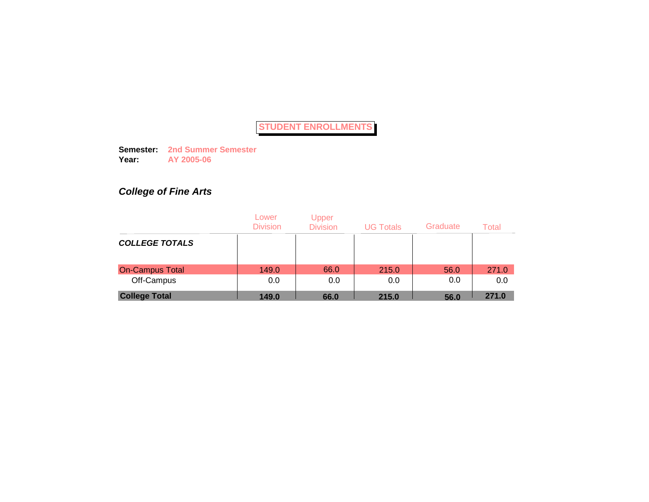**Semester: 2nd Summer Semester Year: AY 2005-06**

# *College of Fine Arts*

|                        | Lower<br><b>Division</b> | Upper<br><b>Division</b> | <b>UG Totals</b> | Graduate | Total |
|------------------------|--------------------------|--------------------------|------------------|----------|-------|
| <b>COLLEGE TOTALS</b>  |                          |                          |                  |          |       |
| <b>On-Campus Total</b> | 149.0                    | 66.0                     | 215.0            | 56.0     | 271.0 |
| Off-Campus             | 0.0                      | 0.0                      | 0.0              | 0.0      | 0.0   |
| <b>College Total</b>   | 149.0                    | 66.0                     | 215.0            | 56.0     | 271.0 |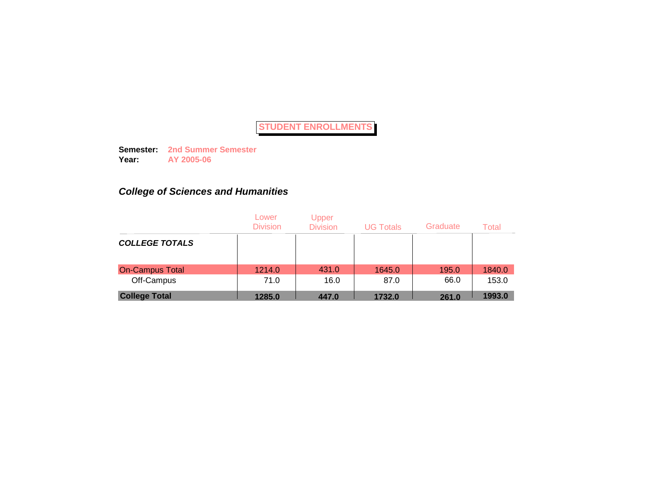**Semester: 2nd Summer Semester Year: AY 2005-06**

# *College of Sciences and Humanities*

|                        | Lower<br><b>Division</b> | Upper<br><b>Division</b> | <b>UG Totals</b> | Graduate | Total  |
|------------------------|--------------------------|--------------------------|------------------|----------|--------|
| <b>COLLEGE TOTALS</b>  |                          |                          |                  |          |        |
| <b>On-Campus Total</b> | 1214.0                   | 431.0                    | 1645.0           | 195.0    | 1840.0 |
| Off-Campus             | 71.0                     | 16.0                     | 87.0             | 66.0     | 153.0  |
| <b>College Total</b>   | 1285.0                   | 447.0                    | 1732.0           | 261.0    | 1993.0 |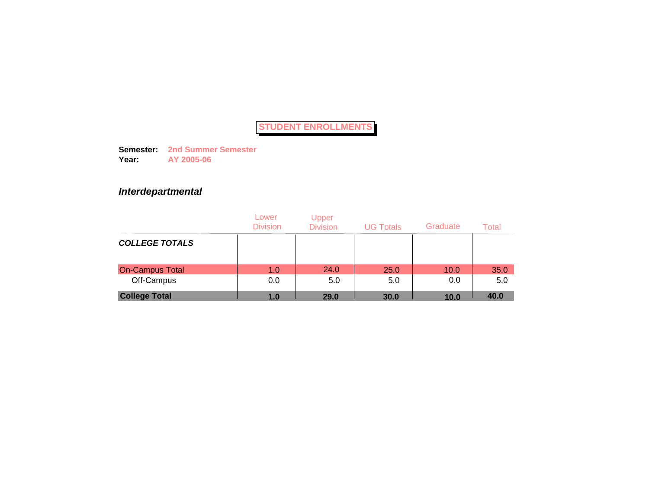**Semester: 2nd Summer Semester Year: AY 2005-06**

## *Interdepartmental*

|                        | Lower<br><b>Division</b> | Upper<br><b>Division</b> | <b>UG Totals</b> | Graduate | Total |
|------------------------|--------------------------|--------------------------|------------------|----------|-------|
| <b>COLLEGE TOTALS</b>  |                          |                          |                  |          |       |
| <b>On-Campus Total</b> | 1.0                      | 24.0                     | 25.0             | 10.0     | 35.0  |
| Off-Campus             | 0.0                      | 5.0                      | 5.0              | 0.0      | 5.0   |
| <b>College Total</b>   | 1.0                      | 29.0                     | 30.0             | 10.0     | 40.0  |